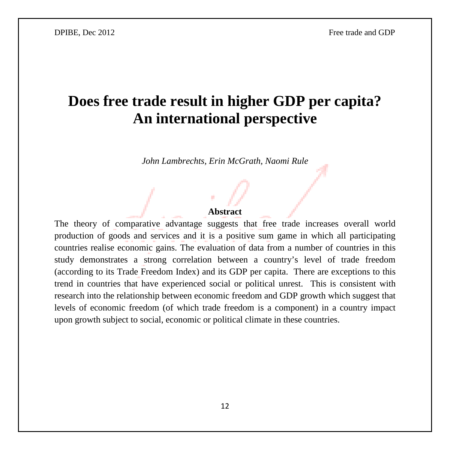# **Does free trade result in higher GDP per capita? An international perspective**

*John Lambrechts, Erin McGrath, Naomi Rule* 

#### **Abstract**

The theory of comparative advantage suggests that free trade increases overall world production of goods and services and it is a positive sum game in which all participating countries realise economic gains. The evaluation of data from a number of countries in this study demonstrates a strong correlation between a country's level of trade freedom (according to its Trade Freedom Index) and its GDP per capita. There are exceptions to this trend in countries that have experienced social or political unrest. This is consistent with research into the relationship between economic freedom and GDP growth which suggest that levels of economic freedom (of which trade freedom is a component) in a country impact upon growth subject to social, economic or political climate in these countries.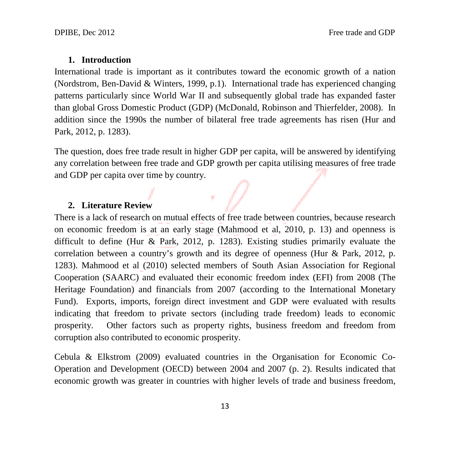## **1. Introduction**

International trade is important as it contributes toward the economic growth of a nation (Nordstrom, Ben-David & Winters, 1999, p.1). International trade has experienced changing patterns particularly since World War II and subsequently global trade has expanded faster than global Gross Domestic Product (GDP) (McDonald, Robinson and Thierfelder, 2008). In addition since the 1990s the number of bilateral free trade agreements has risen (Hur and Park, 2012, p. 1283).

The question, does free trade result in higher GDP per capita, will be answered by identifying any correlation between free trade and GDP growth per capita utilising measures of free trade and GDP per capita over time by country.

a Ta

# **2. Literature Review**

There is a lack of research on mutual effects of free trade between countries, because research on economic freedom is at an early stage (Mahmood et al, 2010, p. 13) and openness is difficult to define (Hur & Park, 2012, p. 1283). Existing studies primarily evaluate the correlation between a country's growth and its degree of openness (Hur & Park, 2012, p. 1283). Mahmood et al (2010) selected members of South Asian Association for Regional Cooperation (SAARC) and evaluated their economic freedom index (EFI) from 2008 (The Heritage Foundation) and financials from 2007 (according to the International Monetary Fund). Exports, imports, foreign direct investment and GDP were evaluated with results indicating that freedom to private sectors (including trade freedom) leads to economic prosperity. Other factors such as property rights, business freedom and freedom from corruption also contributed to economic prosperity.

Cebula & Elkstrom (2009) evaluated countries in the Organisation for Economic Co-Operation and Development (OECD) between 2004 and 2007 (p. 2). Results indicated that economic growth was greater in countries with higher levels of trade and business freedom,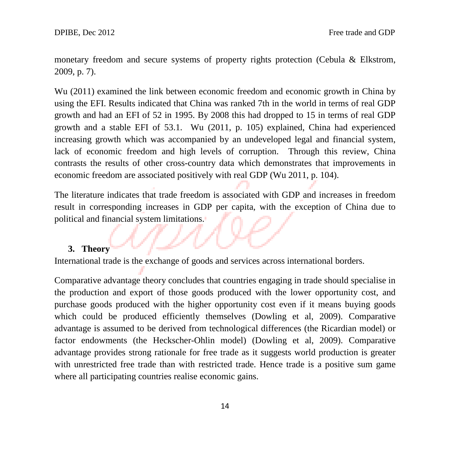monetary freedom and secure systems of property rights protection (Cebula & Elkstrom, 2009, p. 7).

Wu (2011) examined the link between economic freedom and economic growth in China by using the EFI. Results indicated that China was ranked 7th in the world in terms of real GDP growth and had an EFI of 52 in 1995. By 2008 this had dropped to 15 in terms of real GDP growth and a stable EFI of 53.1. Wu (2011, p. 105) explained, China had experienced increasing growth which was accompanied by an undeveloped legal and financial system, lack of economic freedom and high levels of corruption. Through this review, China contrasts the results of other cross-country data which demonstrates that improvements in economic freedom are associated positively with real GDP (Wu 2011, p. 104).

The literature indicates that trade freedom is associated with GDP and increases in freedom result in corresponding increases in GDP per capita, with the exception of China due to political and financial system limitations.

#### **3. Theory**

International trade is the exchange of goods and services across international borders.

Comparative advantage theory concludes that countries engaging in trade should specialise in the production and export of those goods produced with the lower opportunity cost, and purchase goods produced with the higher opportunity cost even if it means buying goods which could be produced efficiently themselves (Dowling et al, 2009). Comparative advantage is assumed to be derived from technological differences (the Ricardian model) or factor endowments (the Heckscher-Ohlin model) (Dowling et al, 2009). Comparative advantage provides strong rationale for free trade as it suggests world production is greater with unrestricted free trade than with restricted trade. Hence trade is a positive sum game where all participating countries realise economic gains.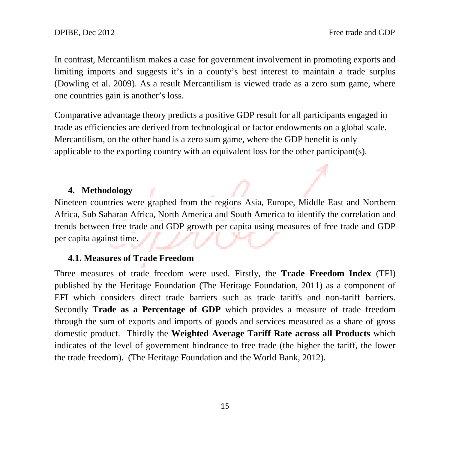In contrast, Mercantilism makes a case for government involvement in promoting exports and limiting imports and suggests it's in a county's best interest to maintain a trade surplus (Dowling et al. 2009). As a result Mercantilism is viewed trade as a zero sum game, where one countries gain is another's loss.

Comparative advantage theory predicts a positive GDP result for all participants engaged in trade as efficiencies are derived from technological or factor endowments on a global scale. Mercantilism, on the other hand is a zero sum game, where the GDP benefit is only applicable to the exporting country with an equivalent loss for the other participant(s).

# **4. Methodology**

Nineteen countries were graphed from the regions Asia, Europe, Middle East and Northern Africa, Sub Saharan Africa, North America and South America to identify the correlation and trends between free trade and GDP growth per capita using measures of free trade and GDP per capita against time.

# **4.1. Measures of Trade Freedom**

Three measures of trade freedom were used. Firstly, the **Trade Freedom Index** (TFI) published by the Heritage Foundation (The Heritage Foundation, 2011) as a component of EFI which considers direct trade barriers such as trade tariffs and non-tariff barriers. Secondly **Trade as a Percentage of GDP** which provides a measure of trade freedom through the sum of exports and imports of goods and services measured as a share of gross domestic product. Thirdly the **Weighted Average Tariff Rate across all Products** which indicates of the level of government hindrance to free trade (the higher the tariff, the lower the trade freedom). (The Heritage Foundation and the World Bank, 2012).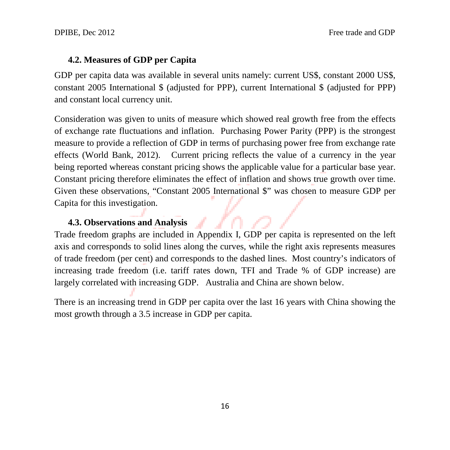### **4.2. Measures of GDP per Capita**

GDP per capita data was available in several units namely: current US\$, constant 2000 US\$, constant 2005 International \$ (adjusted for PPP), current International \$ (adjusted for PPP) and constant local currency unit.

Consideration was given to units of measure which showed real growth free from the effects of exchange rate fluctuations and inflation. Purchasing Power Parity (PPP) is the strongest measure to provide a reflection of GDP in terms of purchasing power free from exchange rate effects (World Bank, 2012). Current pricing reflects the value of a currency in the year being reported whereas constant pricing shows the applicable value for a particular base year. Constant pricing therefore eliminates the effect of inflation and shows true growth over time. Given these observations, "Constant 2005 International \$" was chosen to measure GDP per Capita for this investigation.

#### **4.3. Observations and Analysis**

Trade freedom graphs are included in Appendix I, GDP per capita is represented on the left axis and corresponds to solid lines along the curves, while the right axis represents measures of trade freedom (per cent) and corresponds to the dashed lines. Most country's indicators of increasing trade freedom (i.e. tariff rates down, TFI and Trade % of GDP increase) are largely correlated with increasing GDP. Australia and China are shown below.

There is an increasing trend in GDP per capita over the last 16 years with China showing the most growth through a 3.5 increase in GDP per capita.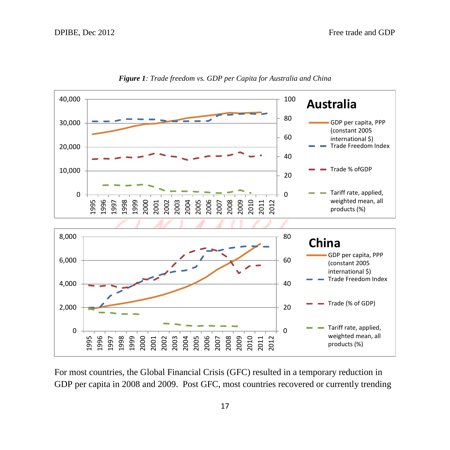

*Figure 1: Trade freedom vs. GDP per Capita for Australia and China*

For most countries, the Global Financial Crisis (GFC) resulted in a temporary reduction in GDP per capita in 2008 and 2009. Post GFC, most countries recovered or currently trending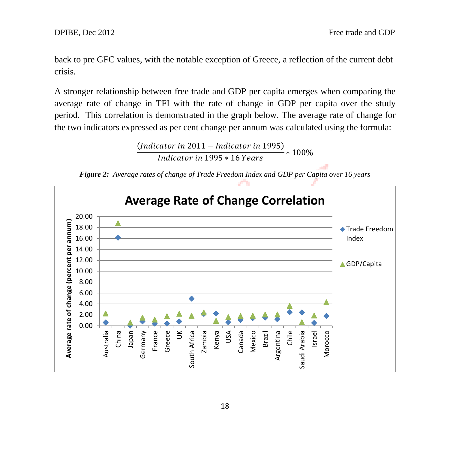back to pre GFC values, with the notable exception of Greece, a reflection of the current debt crisis.

A stronger relationship between free trade and GDP per capita emerges when comparing the average rate of change in TFI with the rate of change in GDP per capita over the study period. This correlation is demonstrated in the graph below. The average rate of change for the two indicators expressed as per cent change per annum was calculated using the formula:

> $\frac{(\text{Indicator in 2011} - \text{Indicator in 1995})}{(100\% + 100\% + 100\% + 100\% + 100\% + 100\% + 100\% + 100\% + 100\% + 100\% + 100\% + 100\% + 100\% + 100\% + 100\% + 100\% + 100\% + 100\% + 100\% + 100\% + 100\% + 100\% + 100\% + 100\% + 100\% + 100\% + 100\% +$ Indicator in 1995 \* 16 Years

*Figure 2: Average rates of change of Trade Freedom Index and GDP per Capita over 16 years*

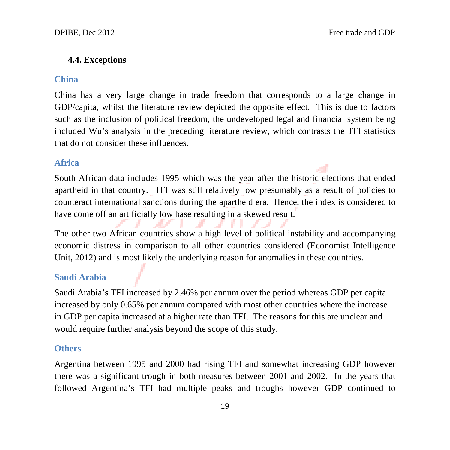## **4.4. Exceptions**

## **China**

China has a very large change in trade freedom that corresponds to a large change in GDP/capita, whilst the literature review depicted the opposite effect. This is due to factors such as the inclusion of political freedom, the undeveloped legal and financial system being included Wu's analysis in the preceding literature review, which contrasts the TFI statistics that do not consider these influences.

# **Africa**

South African data includes 1995 which was the year after the historic elections that ended apartheid in that country. TFI was still relatively low presumably as a result of policies to counteract international sanctions during the apartheid era. Hence, the index is considered to have come off an artificially low base resulting in a skewed result.

The other two African countries show a high level of political instability and accompanying economic distress in comparison to all other countries considered (Economist Intelligence Unit, 2012) and is most likely the underlying reason for anomalies in these countries.

## **Saudi Arabia**

Saudi Arabia's TFI increased by 2.46% per annum over the period whereas GDP per capita increased by only 0.65% per annum compared with most other countries where the increase in GDP per capita increased at a higher rate than TFI. The reasons for this are unclear and would require further analysis beyond the scope of this study.

#### **Others**

Argentina between 1995 and 2000 had rising TFI and somewhat increasing GDP however there was a significant trough in both measures between 2001 and 2002. In the years that followed Argentina's TFI had multiple peaks and troughs however GDP continued to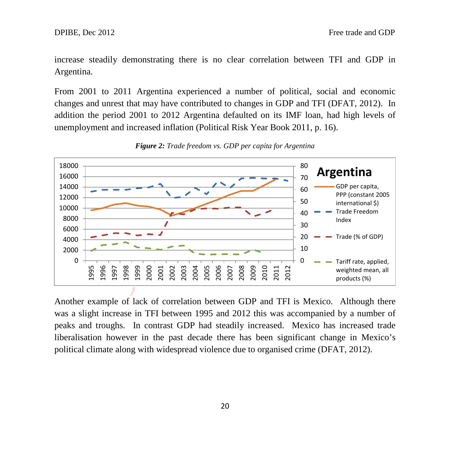increase steadily demonstrating there is no clear correlation between TFI and GDP in Argentina.

From 2001 to 2011 Argentina experienced a number of political, social and economic changes and unrest that may have contributed to changes in GDP and TFI (DFAT, 2012). In addition the period 2001 to 2012 Argentina defaulted on its IMF loan, had high levels of unemployment and increased inflation (Political Risk Year Book 2011, p. 16).



*Figure 2: Trade freedom vs. GDP per capita for Argentina*

Another example of lack of correlation between GDP and TFI is Mexico. Although there was a slight increase in TFI between 1995 and 2012 this was accompanied by a number of peaks and troughs. In contrast GDP had steadily increased. Mexico has increased trade liberalisation however in the past decade there has been significant change in Mexico's political climate along with widespread violence due to organised crime (DFAT, 2012).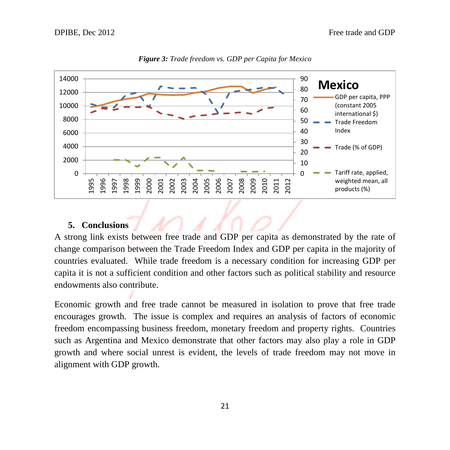

*Figure 3: Trade freedom vs. GDP per Capita for Mexico*

## **5. Conclusions**

A strong link exists between free trade and GDP per capita as demonstrated by the rate of change comparison between the Trade Freedom Index and GDP per capita in the majority of countries evaluated. While trade freedom is a necessary condition for increasing GDP per capita it is not a sufficient condition and other factors such as political stability and resource endowments also contribute.

Economic growth and free trade cannot be measured in isolation to prove that free trade encourages growth. The issue is complex and requires an analysis of factors of economic freedom encompassing business freedom, monetary freedom and property rights. Countries such as Argentina and Mexico demonstrate that other factors may also play a role in GDP growth and where social unrest is evident, the levels of trade freedom may not move in alignment with GDP growth.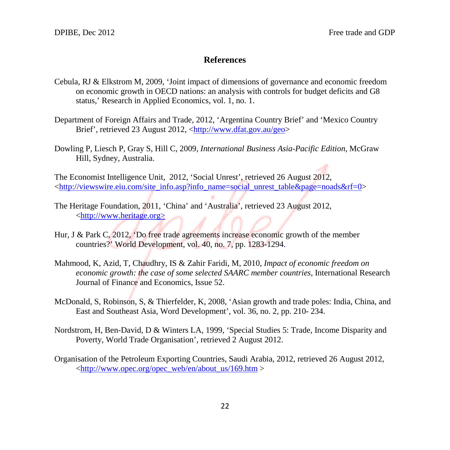#### **References**

- Cebula, RJ & Elkstrom M, 2009, 'Joint impact of dimensions of governance and economic freedom on economic growth in OECD nations: an analysis with controls for budget deficits and G8 status,' Research in Applied Economics, vol. 1, no. 1.
- Department of Foreign Affairs and Trade, 2012, 'Argentina Country Brief' and 'Mexico Country Brief', retrieved 23 August 2012, [<http://www.dfat.gov.au/geo>](http://www.dfat.gov.au/geo)
- Dowling P, Liesch P, Gray S, Hill C, 2009, *International Business Asia-Pacific Edition*, McGraw Hill, Sydney, Australia.

The Economist Intelligence Unit, 2012, 'Social Unrest', retrieved 26 August 2012, [<http://viewswire.eiu.com/site\\_info.asp?info\\_name=social\\_unrest\\_table&page=noads&rf=0>](http://viewswire.eiu.com/site_info.asp?info_name=social_unrest_table&page=noads&rf=0)

- The Heritage Foundation, 2011, 'China' and 'Australia', retrieved 23 August 2012, <http://www.heritage.org>
- Hur, J & Park C, 2012, 'Do free trade agreements increase economic growth of the member countries?' World Development, vol. 40, no. 7, pp. 1283-1294.
- Mahmood, K, Azid, T, Chaudhry, IS & Zahir Faridi, M, 2010, *Impact of economic freedom on economic growth: the case of some selected SAARC member countries, International Research* Journal of Finance and Economics, Issue 52.
- McDonald, S, Robinson, S, & Thierfelder, K, 2008, 'Asian growth and trade poles: India, China, and East and Southeast Asia, Word Development', vol. 36, no. 2, pp. 210- 234.
- Nordstrom, H, Ben-David, D & Winters LA, 1999, 'Special Studies 5: Trade, Income Disparity and Poverty, World Trade Organisation', retrieved 2 August 2012.
- Organisation of the Petroleum Exporting Countries, Saudi Arabia, 2012, retrieved 26 August 2012,  $\langle \text{http://www.opec.org/opec} \quad \text{web/en/about} \quad \text{us/169.htm} >$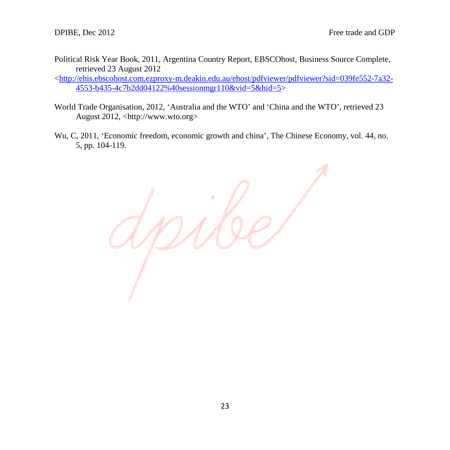Political Risk Year Book, 2011, Argentina Country Report, EBSCOhost, Business Source Complete, retrieved 23 August 2012

[<http://ehis.ebscohost.com.ezproxy-m.deakin.edu.au/ehost/pdfviewer/pdfviewer?sid=039fe552-7a32-](http://ehis.ebscohost.com.ezproxy-m.deakin.edu.au/ehost/pdfviewer/pdfviewer?sid=039fe552-7a32-4553-b435-4c7b2dd04122%40sessionmgr110&vid=5&hid=5) [4553-b435-4c7b2dd04122%40sessionmgr110&vid=5&hid=5>](http://ehis.ebscohost.com.ezproxy-m.deakin.edu.au/ehost/pdfviewer/pdfviewer?sid=039fe552-7a32-4553-b435-4c7b2dd04122%40sessionmgr110&vid=5&hid=5)

- World Trade Organisation, 2012, 'Australia and the WTO' and 'China and the WTO', retrieved 23 August 2012, <http://www.wto.org>
- Wu, C, 2011, 'Economic freedom, economic growth and china', The Chinese Economy, vol. 44, no. 5, pp. 104-119.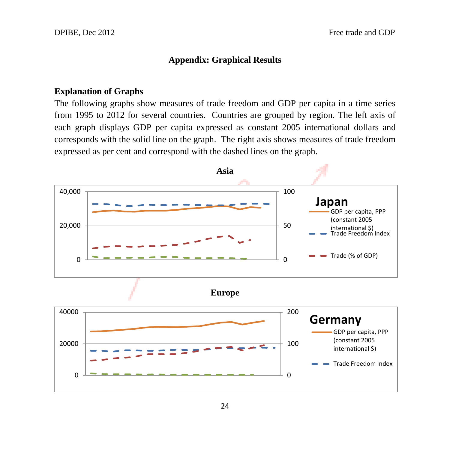## **Appendix: Graphical Results**

## **Explanation of Graphs**

The following graphs show measures of trade freedom and GDP per capita in a time series from 1995 to 2012 for several countries. Countries are grouped by region. The left axis of each graph displays GDP per capita expressed as constant 2005 international dollars and corresponds with the solid line on the graph. The right axis shows measures of trade freedom expressed as per cent and correspond with the dashed lines on the graph.

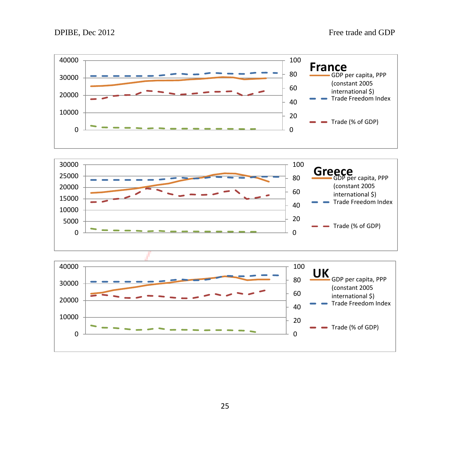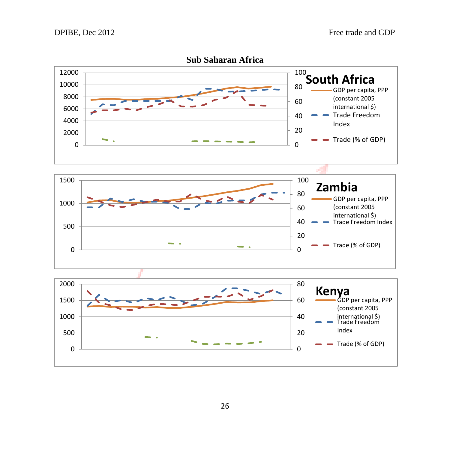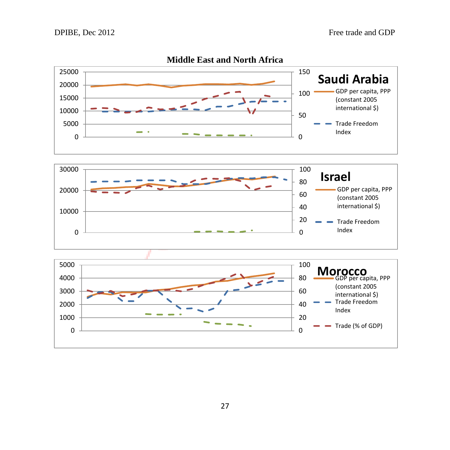

## **Middle East and North Africa**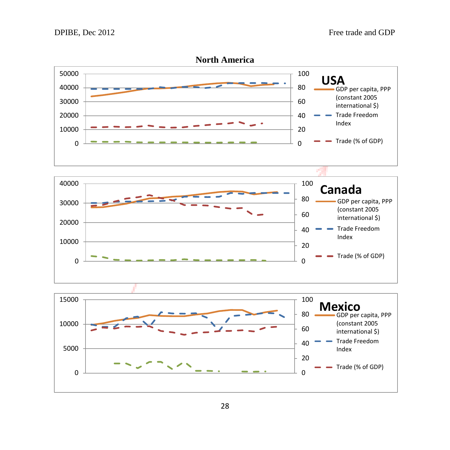